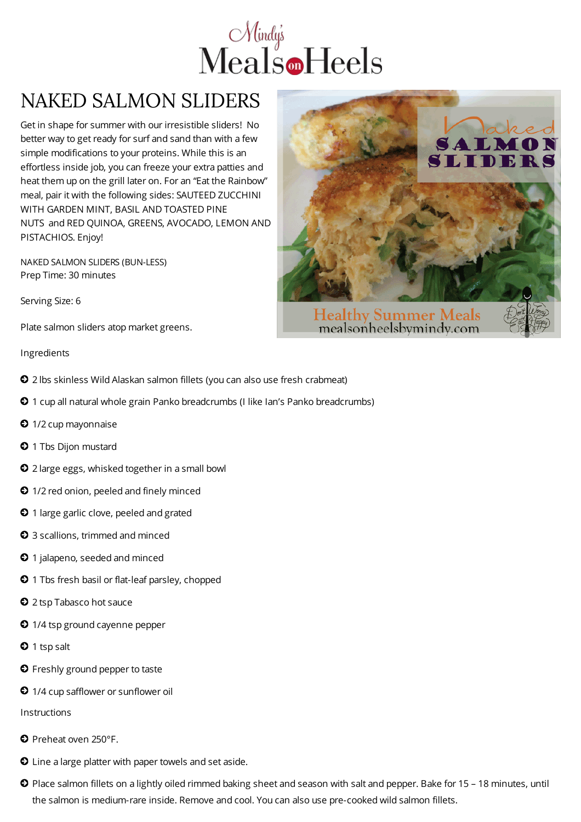

## NAKED SALMON SLIDERS

Get in shape for summer with our irresistible sliders! No better way to get ready for surf and sand than with a few simple modifications to your proteins. While this is an effortless inside job, you can freeze your extra patties and heat them up on the grill later on. For an "Eat the Rainbow" meal, pair it with the following sides: SAUTEED ZUCCHINI WITH GARDEN MINT, BASIL AND TOASTED PINE NUTS and RED QUINOA, GREENS, AVOCADO, LEMON AND PISTACHIOS. Enjoy!

NAKED SALMON SLIDERS (BUN-LESS) Prep Time: 30 minutes

Serving Size: 6

Plate salmon sliders atop market greens.

## Ingredients

- 2 lbs skinless Wild Alaskan salmon fillets (you can also use fresh crabmeat)
- 1 cup all natural whole grain Panko breadcrumbs (I like Ian's Panko breadcrumbs)
- <sup>1/2</sup> cup mayonnaise
- **0** 1 Tbs Dijon mustard
- 2 large eggs, whisked together in a small bowl
- $\bullet$  1/2 red onion, peeled and finely minced
- $\odot$  1 large garlic clove, peeled and grated
- 3 scallions, trimmed and minced
- **0** 1 jalapeno, seeded and minced
- **0** 1 Tbs fresh basil or flat-leaf parsley, chopped
- **2** 2 tsp Tabasco hot sauce
- <sup>1/4</sup> tsp ground cayenne pepper
- $\bullet$  1 tsp salt
- **O** Freshly ground pepper to taste
- 1/4 cup safflower or sunflower oil

Instructions

- **O** Preheat oven 250°F.
- Line a large platter with paper towels and set aside.